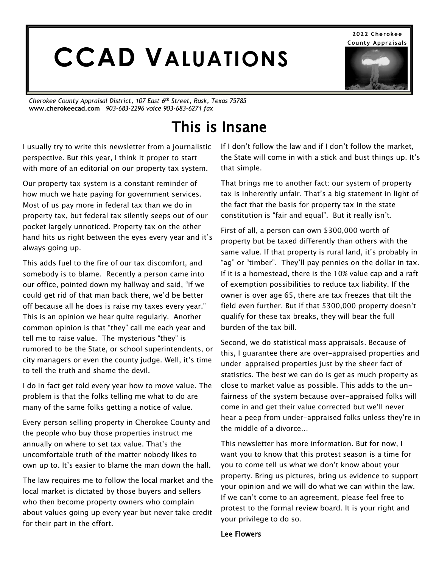# **CCAD VALUATIONS**

*Cherokee County Appraisal District, 107 East 6th Street, Rusk, Texas 75785* **www.cherokeecad.com** *903-683-2296 voice 903-683-6271 fax*

# This is Insane

I usually try to write this newsletter from a journalistic perspective. But this year, I think it proper to start with more of an editorial on our property tax system.

Our property tax system is a constant reminder of how much we hate paying for government services. Most of us pay more in federal tax than we do in property tax, but federal tax silently seeps out of our pocket largely unnoticed. Property tax on the other hand hits us right between the eyes every year and it's always going up.

This adds fuel to the fire of our tax discomfort, and somebody is to blame. Recently a person came into our office, pointed down my hallway and said, "if we could get rid of that man back there, we'd be better off because all he does is raise my taxes every year." This is an opinion we hear quite regularly. Another common opinion is that "they" call me each year and tell me to raise value. The mysterious "they" is rumored to be the State, or school superintendents, or city managers or even the county judge. Well, it's time to tell the truth and shame the devil.

I do in fact get told every year how to move value. The problem is that the folks telling me what to do are many of the same folks getting a notice of value.

Every person selling property in Cherokee County and the people who buy those properties instruct me annually on where to set tax value. That's the uncomfortable truth of the matter nobody likes to own up to. It's easier to blame the man down the hall.

The law requires me to follow the local market and the local market is dictated by those buyers and sellers who then become property owners who complain about values going up every year but never take credit for their part in the effort.

If I don't follow the law and if I don't follow the market, the State will come in with a stick and bust things up. It's that simple.

That brings me to another fact: our system of property tax is inherently unfair. That's a big statement in light of the fact that the basis for property tax in the state constitution is "fair and equal". But it really isn't.

First of all, a person can own \$300,000 worth of property but be taxed differently than others with the same value. If that property is rural land, it's probably in "ag" or "timber". They'll pay pennies on the dollar in tax. If it is a homestead, there is the 10% value cap and a raft of exemption possibilities to reduce tax liability. If the owner is over age 65, there are tax freezes that tilt the field even further. But if that \$300,000 property doesn't qualify for these tax breaks, they will bear the full burden of the tax bill.

Second, we do statistical mass appraisals. Because of this, I guarantee there are over-appraised properties and under-appraised properties just by the sheer fact of statistics. The best we can do is get as much property as close to market value as possible. This adds to the unfairness of the system because over-appraised folks will come in and get their value corrected but we'll never hear a peep from under-appraised folks unless they're in the middle of a divorce…

This newsletter has more information. But for now, I want you to know that this protest season is a time for you to come tell us what we don't know about your property. Bring us pictures, bring us evidence to support your opinion and we will do what we can within the law. If we can't come to an agreement, please feel free to protest to the formal review board. It is your right and your privilege to do so.

#### Lee Flowers

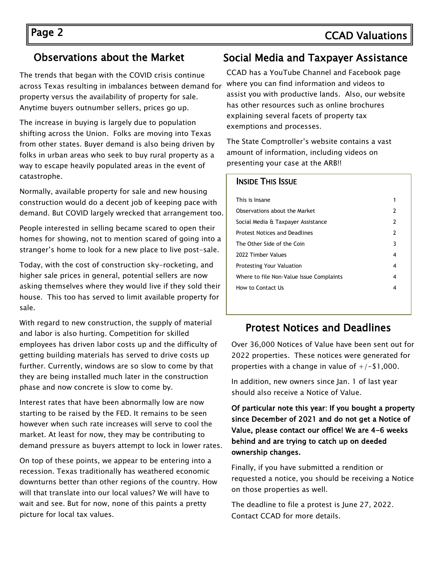# Page 2 CCAD Valuations

#### Observations about the Market

The trends that began with the COVID crisis continue across Texas resulting in imbalances between demand for property versus the availability of property for sale. Anytime buyers outnumber sellers, prices go up.

The increase in buying is largely due to population shifting across the Union. Folks are moving into Texas from other states. Buyer demand is also being driven by folks in urban areas who seek to buy rural property as a way to escape heavily populated areas in the event of catastrophe.

Normally, available property for sale and new housing construction would do a decent job of keeping pace with demand. But COVID largely wrecked that arrangement too.

People interested in selling became scared to open their homes for showing, not to mention scared of going into a stranger's home to look for a new place to live post-sale.

Today, with the cost of construction sky-rocketing, and higher sale prices in general, potential sellers are now asking themselves where they would live if they sold their house. This too has served to limit available property for sale.

With regard to new construction, the supply of material and labor is also hurting. Competition for skilled employees has driven labor costs up and the difficulty of getting building materials has served to drive costs up further. Currently, windows are so slow to come by that they are being installed much later in the construction phase and now concrete is slow to come by.

Interest rates that have been abnormally low are now starting to be raised by the FED. It remains to be seen however when such rate increases will serve to cool the market. At least for now, they may be contributing to demand pressure as buyers attempt to lock in lower rates.

On top of these points, we appear to be entering into a recession. Texas traditionally has weathered economic downturns better than other regions of the country. How will that translate into our local values? We will have to wait and see. But for now, none of this paints a pretty picture for local tax values.

#### Social Media and Taxpayer Assistance

CCAD has a YouTube Channel and Facebook page where you can find information and videos to assist you with productive lands. Also, our website has other resources such as online brochures explaining several facets of property tax exemptions and processes.

The State Comptroller's website contains a vast amount of information, including videos on presenting your case at the ARB!!

#### INSIDE THIS ISSUE

| This is Insane                           |   |
|------------------------------------------|---|
| Observations about the Market            | 2 |
| Social Media & Taxpayer Assistance       | 2 |
| <b>Protest Notices and Deadlines</b>     | 2 |
| The Other Side of the Coin               | 3 |
| 2022 Timber Values                       | 4 |
| <b>Protesting Your Valuation</b>         | 4 |
| Where to file Non-Value Issue Complaints | 4 |
| How to Contact Us                        | 4 |
|                                          |   |

#### Protest Notices and Deadlines

Over 36,000 Notices of Value have been sent out for 2022 properties. These notices were generated for properties with a change in value of  $+/-$ \$1,000.

In addition, new owners since Jan. 1 of last year should also receive a Notice of Value.

Of particular note this year: If you bought a property since December of 2021 and do not get a Notice of Value, please contact our office! We are 4-6 weeks behind and are trying to catch up on deeded ownership changes.

Finally, if you have submitted a rendition or requested a notice, you should be receiving a Notice on those properties as well.

The deadline to file a protest is June 27, 2022. Contact CCAD for more details.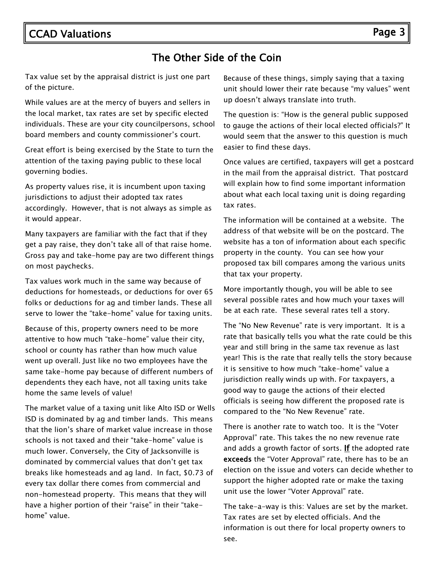### The Other Side of the Coin

Tax value set by the appraisal district is just one part of the picture.

While values are at the mercy of buyers and sellers in the local market, tax rates are set by specific elected individuals. These are your city councilpersons, school board members and county commissioner's court.

Great effort is being exercised by the State to turn the attention of the taxing paying public to these local governing bodies.

As property values rise, it is incumbent upon taxing jurisdictions to adjust their adopted tax rates accordingly. However, that is not always as simple as it would appear.

Many taxpayers are familiar with the fact that if they get a pay raise, they don't take all of that raise home. Gross pay and take-home pay are two different things on most paychecks.

Tax values work much in the same way because of deductions for homesteads, or deductions for over 65 folks or deductions for ag and timber lands. These all serve to lower the "take-home" value for taxing units.

Because of this, property owners need to be more attentive to how much "take-home" value their city, school or county has rather than how much value went up overall. Just like no two employees have the same take-home pay because of different numbers of dependents they each have, not all taxing units take home the same levels of value!

The market value of a taxing unit like Alto ISD or Wells ISD is dominated by ag and timber lands. This means that the lion's share of market value increase in those schools is not taxed and their "take-home" value is much lower. Conversely, the City of Jacksonville is dominated by commercial values that don't get tax breaks like homesteads and ag land. In fact, \$0.73 of every tax dollar there comes from commercial and non-homestead property. This means that they will have a higher portion of their "raise" in their "takehome" value.

Because of these things, simply saying that a taxing unit should lower their rate because "my values" went up doesn't always translate into truth.

The question is: "How is the general public supposed to gauge the actions of their local elected officials?" It would seem that the answer to this question is much easier to find these days.

Once values are certified, taxpayers will get a postcard in the mail from the appraisal district. That postcard will explain how to find some important information about what each local taxing unit is doing regarding tax rates.

The information will be contained at a website. The address of that website will be on the postcard. The website has a ton of information about each specific property in the county. You can see how your proposed tax bill compares among the various units that tax your property.

More importantly though, you will be able to see several possible rates and how much your taxes will be at each rate. These several rates tell a story.

The "No New Revenue" rate is very important. It is a rate that basically tells you what the rate could be this year and still bring in the same tax revenue as last year! This is the rate that really tells the story because it is sensitive to how much "take-home" value a jurisdiction really winds up with. For taxpayers, a good way to gauge the actions of their elected officials is seeing how different the proposed rate is compared to the "No New Revenue" rate.

There is another rate to watch too. It is the "Voter Approval" rate. This takes the no new revenue rate and adds a growth factor of sorts. If the adopted rate exceeds the "Voter Approval" rate, there has to be an election on the issue and voters can decide whether to support the higher adopted rate or make the taxing unit use the lower "Voter Approval" rate.

The take-a-way is this: Values are set by the market. Tax rates are set by elected officials. And the information is out there for local property owners to see.